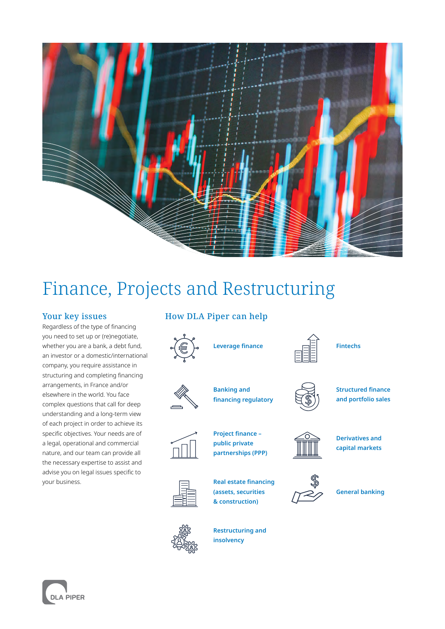

# Finance, Projects and Restructuring

#### Your key issues

Regardless of the type of financing you need to set up or (re)negotiate, whether you are a bank, a debt fund, an investor or a domestic/international company, you require assistance in structuring and completing financing arrangements, in France and/or elsewhere in the world. You face complex questions that call for deep understanding and a long-term view of each project in order to achieve its specific objectives. Your needs are of a legal, operational and commercial nature, and our team can provide all the necessary expertise to assist and advise you on legal issues specific to your business.

### How DLA Piper can help



**Leverage finance**



**Banking and financing regulatory**

**Project finance – public private partnerships (PPP)**



**Structured finance and portfolio sales**

**Fintechs**



**Derivatives and capital markets**



**General banking**



**Restructuring and insolvency**

**Real estate financing (assets, securities & construction)**